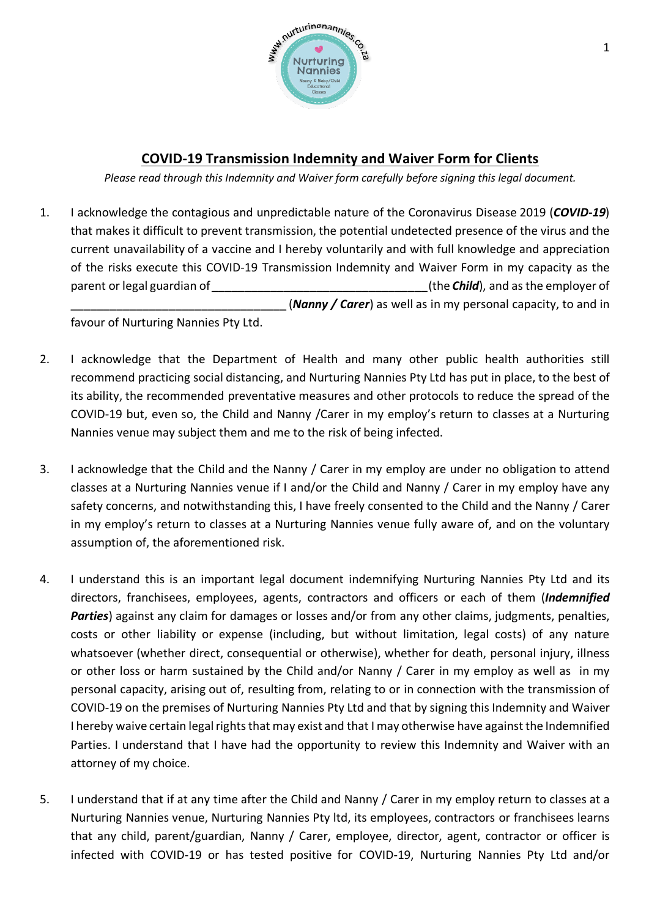

## **COVID-19 Transmission Indemnity and Waiver Form for Clients**

*Please read through this Indemnity and Waiver form carefully before signing this legal document.*

1. I acknowledge the contagious and unpredictable nature of the Coronavirus Disease 2019 (*COVID-19*) that makes it difficult to prevent transmission, the potential undetected presence of the virus and the current unavailability of a vaccine and I hereby voluntarily and with full knowledge and appreciation of the risks execute this COVID-19 Transmission Indemnity and Waiver Form in my capacity as the parent or legal guardian of *parent* or *legal guardian* of *<i>nice in the Child*), and as the employer of \_\_\_\_\_\_\_\_\_\_\_\_\_\_\_\_\_\_\_\_\_\_\_\_\_\_\_\_\_\_\_\_\_ (*Nanny / Carer*) as well as in my personal capacity, to and in

favour of Nurturing Nannies Pty Ltd.

- 2. I acknowledge that the Department of Health and many other public health authorities still recommend practicing social distancing, and Nurturing Nannies Pty Ltd has put in place, to the best of its ability, the recommended preventative measures and other protocols to reduce the spread of the COVID-19 but, even so, the Child and Nanny /Carer in my employ's return to classes at a Nurturing Nannies venue may subject them and me to the risk of being infected.
- 3. I acknowledge that the Child and the Nanny / Carer in my employ are under no obligation to attend classes at a Nurturing Nannies venue if I and/or the Child and Nanny / Carer in my employ have any safety concerns, and notwithstanding this, I have freely consented to the Child and the Nanny / Carer in my employ's return to classes at a Nurturing Nannies venue fully aware of, and on the voluntary assumption of, the aforementioned risk.
- 4. I understand this is an important legal document indemnifying Nurturing Nannies Pty Ltd and its directors, franchisees, employees, agents, contractors and officers or each of them (*Indemnified Parties*) against any claim for damages or losses and/or from any other claims, judgments, penalties, costs or other liability or expense (including, but without limitation, legal costs) of any nature whatsoever (whether direct, consequential or otherwise), whether for death, personal injury, illness or other loss or harm sustained by the Child and/or Nanny / Carer in my employ as well as in my personal capacity, arising out of, resulting from, relating to or in connection with the transmission of COVID-19 on the premises of Nurturing Nannies Pty Ltd and that by signing this Indemnity and Waiver I hereby waive certain legal rights that may exist and that I may otherwise have against the Indemnified Parties. I understand that I have had the opportunity to review this Indemnity and Waiver with an attorney of my choice.
- 5. I understand that if at any time after the Child and Nanny / Carer in my employ return to classes at a Nurturing Nannies venue, Nurturing Nannies Pty ltd, its employees, contractors or franchisees learns that any child, parent/guardian, Nanny / Carer, employee, director, agent, contractor or officer is infected with COVID-19 or has tested positive for COVID-19, Nurturing Nannies Pty Ltd and/or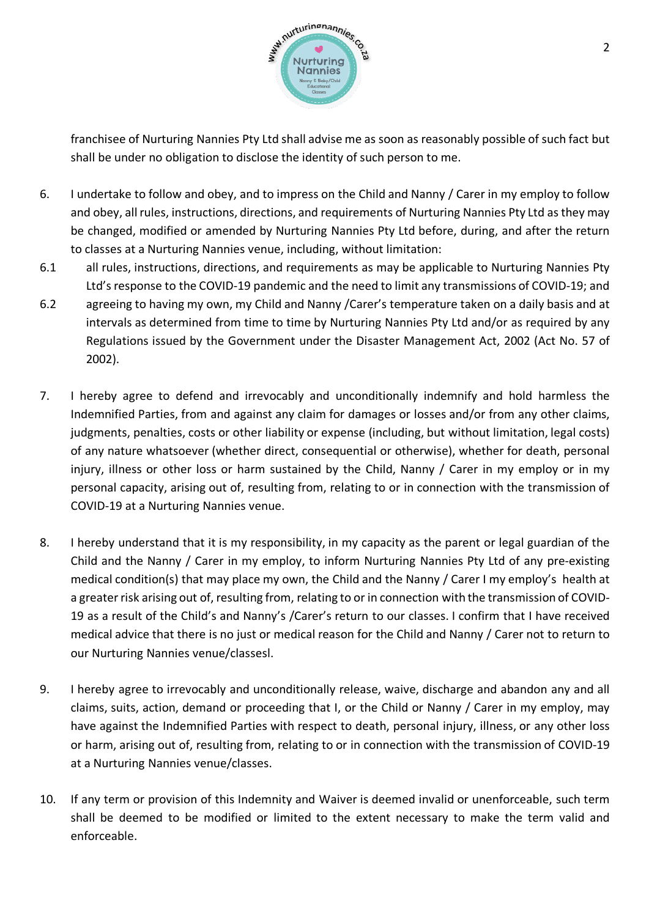

franchisee of Nurturing Nannies Pty Ltd shall advise me as soon as reasonably possible of such fact but shall be under no obligation to disclose the identity of such person to me.

- 6. I undertake to follow and obey, and to impress on the Child and Nanny / Carer in my employ to follow and obey, all rules, instructions, directions, and requirements of Nurturing Nannies Pty Ltd as they may be changed, modified or amended by Nurturing Nannies Pty Ltd before, during, and after the return to classes at a Nurturing Nannies venue, including, without limitation:
- 6.1 all rules, instructions, directions, and requirements as may be applicable to Nurturing Nannies Pty Ltd's response to the COVID-19 pandemic and the need to limit any transmissions of COVID-19; and
- 6.2 agreeing to having my own, my Child and Nanny /Carer's temperature taken on a daily basis and at intervals as determined from time to time by Nurturing Nannies Pty Ltd and/or as required by any Regulations issued by the Government under the Disaster Management Act, 2002 (Act No. 57 of 2002).
- 7. I hereby agree to defend and irrevocably and unconditionally indemnify and hold harmless the Indemnified Parties, from and against any claim for damages or losses and/or from any other claims, judgments, penalties, costs or other liability or expense (including, but without limitation, legal costs) of any nature whatsoever (whether direct, consequential or otherwise), whether for death, personal injury, illness or other loss or harm sustained by the Child, Nanny / Carer in my employ or in my personal capacity, arising out of, resulting from, relating to or in connection with the transmission of COVID-19 at a Nurturing Nannies venue.
- 8. I hereby understand that it is my responsibility, in my capacity as the parent or legal guardian of the Child and the Nanny / Carer in my employ, to inform Nurturing Nannies Pty Ltd of any pre-existing medical condition(s) that may place my own, the Child and the Nanny / Carer I my employ's health at a greater risk arising out of, resulting from, relating to or in connection with the transmission of COVID-19 as a result of the Child's and Nanny's /Carer's return to our classes. I confirm that I have received medical advice that there is no just or medical reason for the Child and Nanny / Carer not to return to our Nurturing Nannies venue/classesl.
- 9. I hereby agree to irrevocably and unconditionally release, waive, discharge and abandon any and all claims, suits, action, demand or proceeding that I, or the Child or Nanny / Carer in my employ, may have against the Indemnified Parties with respect to death, personal injury, illness, or any other loss or harm, arising out of, resulting from, relating to or in connection with the transmission of COVID-19 at a Nurturing Nannies venue/classes.
- 10. If any term or provision of this Indemnity and Waiver is deemed invalid or unenforceable, such term shall be deemed to be modified or limited to the extent necessary to make the term valid and enforceable.